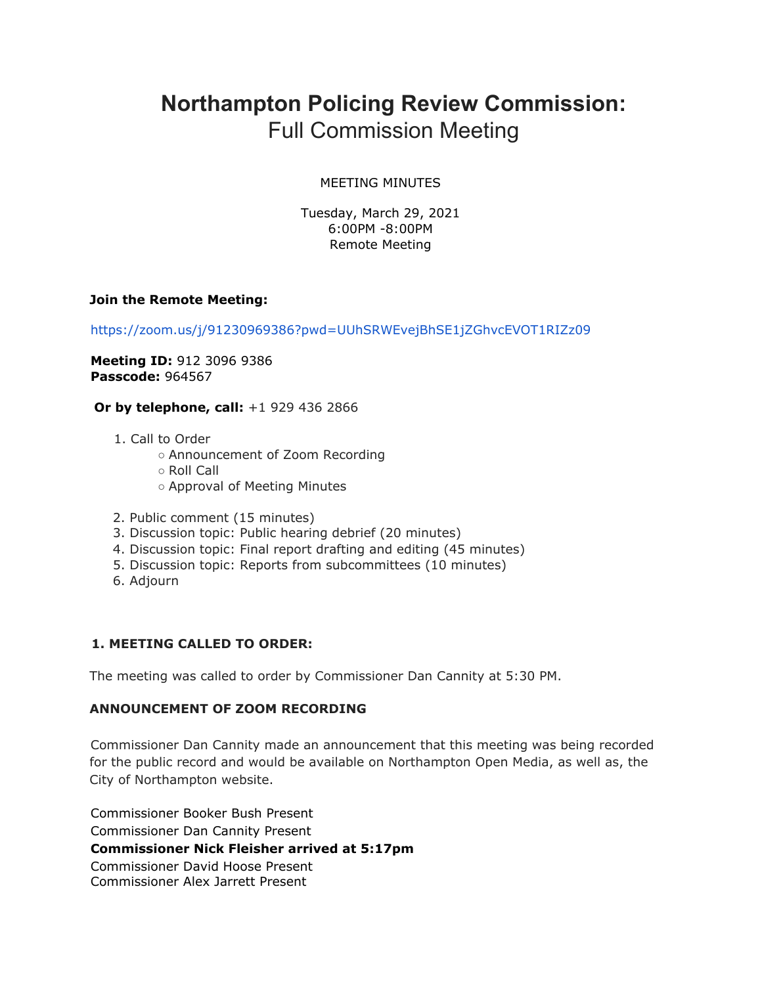# **Northampton Policing Review Commission:** Full Commission Meeting

#### MEETING MINUTES

Tuesday, March 29, 2021 6:00PM -8:00PM Remote Meeting

#### **Join the Remote Meeting:**

https://zoom.us/j/91230969386?pwd=UUhSRWEvejBhSE1jZGhvcEVOT1RIZz09

**Meeting ID:** 912 3096 9386 **Passcode:** 964567

**Or by telephone, call:** +1 929 436 2866

- 1. Call to Order
	- Announcement of Zoom Recording
	- Roll Call
	- Approval of Meeting Minutes
- 2. Public comment (15 minutes)
- 3. Discussion topic: Public hearing debrief (20 minutes)
- 4. Discussion topic: Final report drafting and editing (45 minutes)
- 5. Discussion topic: Reports from subcommittees (10 minutes)
- 6. Adjourn

### **1. MEETING CALLED TO ORDER:**

The meeting was called to order by Commissioner Dan Cannity at 5:30 PM.

#### **ANNOUNCEMENT OF ZOOM RECORDING**

Commissioner Dan Cannity made an announcement that this meeting was being recorded for the public record and would be available on Northampton Open Media, as well as, the City of Northampton website.

Commissioner Booker Bush Present Commissioner Dan Cannity Present **Commissioner Nick Fleisher arrived at 5:17pm** Commissioner David Hoose Present Commissioner Alex Jarrett Present